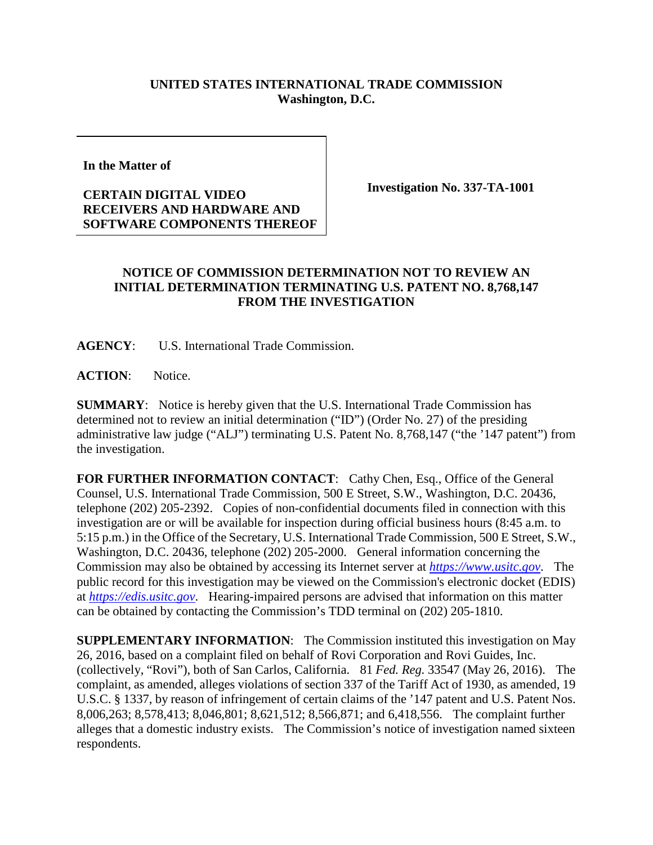## **UNITED STATES INTERNATIONAL TRADE COMMISSION Washington, D.C.**

**In the Matter of** 

## **CERTAIN DIGITAL VIDEO RECEIVERS AND HARDWARE AND SOFTWARE COMPONENTS THEREOF**

**Investigation No. 337-TA-1001**

## **NOTICE OF COMMISSION DETERMINATION NOT TO REVIEW AN INITIAL DETERMINATION TERMINATING U.S. PATENT NO. 8,768,147 FROM THE INVESTIGATION**

**AGENCY**: U.S. International Trade Commission.

ACTION: Notice.

**SUMMARY**: Notice is hereby given that the U.S. International Trade Commission has determined not to review an initial determination ("ID") (Order No. 27) of the presiding administrative law judge ("ALJ") terminating U.S. Patent No. 8,768,147 ("the '147 patent") from the investigation.

FOR FURTHER INFORMATION CONTACT: Cathy Chen, Esq., Office of the General Counsel, U.S. International Trade Commission, 500 E Street, S.W., Washington, D.C. 20436, telephone (202) 205-2392. Copies of non-confidential documents filed in connection with this investigation are or will be available for inspection during official business hours (8:45 a.m. to 5:15 p.m.) in the Office of the Secretary, U.S. International Trade Commission, 500 E Street, S.W., Washington, D.C. 20436, telephone (202) 205-2000. General information concerning the Commission may also be obtained by accessing its Internet server at *[https://www.usitc.gov](https://www.usitc.gov/)*. The public record for this investigation may be viewed on the Commission's electronic docket (EDIS) at *[https://edis.usitc.gov](https://edis.usitc.gov/)*. Hearing-impaired persons are advised that information on this matter can be obtained by contacting the Commission's TDD terminal on (202) 205-1810.

**SUPPLEMENTARY INFORMATION**: The Commission instituted this investigation on May 26, 2016, based on a complaint filed on behalf of Rovi Corporation and Rovi Guides, Inc. (collectively, "Rovi"), both of San Carlos, California. 81 *Fed. Reg.* 33547 (May 26, 2016). The complaint, as amended, alleges violations of section 337 of the Tariff Act of 1930, as amended, 19 U.S.C. § 1337, by reason of infringement of certain claims of the '147 patent and U.S. Patent Nos. 8,006,263; 8,578,413; 8,046,801; 8,621,512; 8,566,871; and 6,418,556. The complaint further alleges that a domestic industry exists. The Commission's notice of investigation named sixteen respondents.